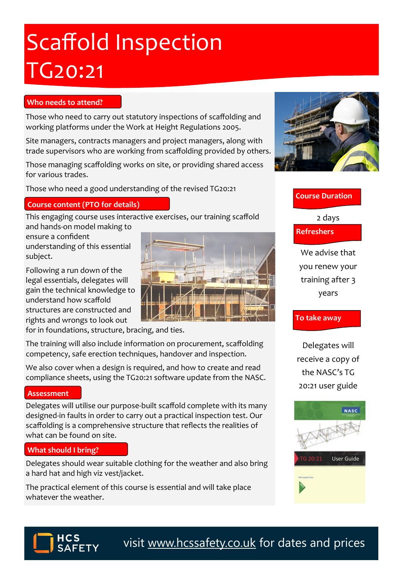# Scaffold Inspection TG20:21

### **Who needs to attend?**

Those who need to carry out statutory inspections of scaffolding and working platforms under the Work at Height Regulations 2005.

Site managers, contracts managers and project managers, along with trade supervisors who are working from scaffolding provided by others.

Those managing scaffolding works on site, or providing shared access for various trades.

Those who need a good understanding of the revised TG20:21

#### **Course content (PTO for details)**

This engaging course uses interactive exercises, our training scaffold and hands-on model making to

ensure a confident understanding of this essential subject.

Following a run down of the legal essentials, delegates will gain the technical knowledge to understand how scaffold structures are constructed and rights and wrongs to look out

for in foundations, structure, bracing, and ties.

The training will also include information on procurement, scaffolding competency, safe erection techniques, handover and inspection.

We also cover when a design is required, and how to create and read compliance sheets, using the TG20:21 software update from the NASC.

#### **Assessment**

Delegates will utilise our purpose-built scaffold complete with its many designed-in faults in order to carry out a practical inspection test. Our scaffolding is a comprehensive structure that reflects the realities of what can be found on site.

#### **What should I bring?**

Delegates should wear suitable clothing for the weather and also bring a hard hat and high viz vest/jacket.

The practical element of this course is essential and will take place whatever the weather.



## **Course Duration**

2 days

**Refreshers**

We advise that you renew your training after 3 years

# **To take away**

Delegates will receive a copy of the NASC's TG 20:21 user guide